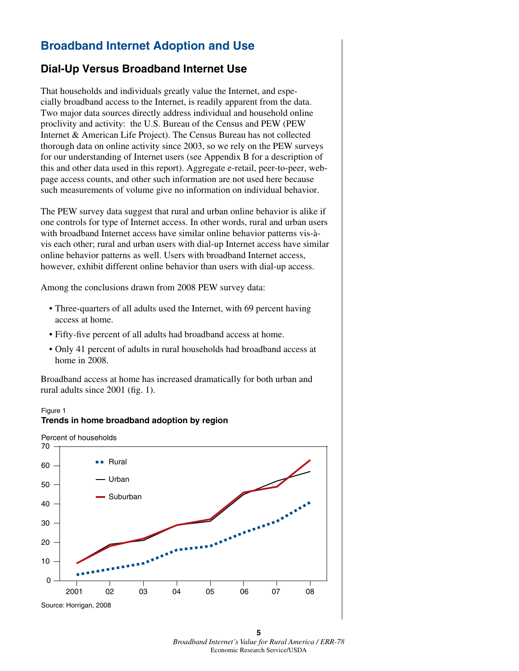# **Broadband Internet Adoption and Use**

## **Dial-Up Versus Broadband Internet Use**

That households and individuals greatly value the Internet, and especially broadband access to the Internet, is readily apparent from the data. Two major data sources directly address individual and household online proclivity and activity: the U.S. Bureau of the Census and PEW (PEW Internet & American Life Project). The Census Bureau has not collected thorough data on online activity since 2003, so we rely on the PEW surveys for our understanding of Internet users (see Appendix B for a description of this and other data used in this report). Aggregate e-retail, peer-to-peer, webpage access counts, and other such information are not used here because such measurements of volume give no information on individual behavior.

The PEW survey data suggest that rural and urban online behavior is alike if one controls for type of Internet access. In other words, rural and urban users with broadband Internet access have similar online behavior patterns vis-àvis each other; rural and urban users with dial-up Internet access have similar online behavior patterns as well. Users with broadband Internet access, however, exhibit different online behavior than users with dial-up access.

Among the conclusions drawn from 2008 PEW survey data:

- Three-quarters of all adults used the Internet, with 69 percent having access at home.
- Fifty-five percent of all adults had broadband access at home.
- Only 41 percent of adults in rural households had broadband access at home in 2008.

Broadband access at home has increased dramatically for both urban and rural adults since 2001 (fig. 1).

## Figure 1 **Trends in home broadband adoption by region**

Percent of households



**5**  *Broadband Internet's Value for Rural America / ERR-78* Economic Research Service/USDA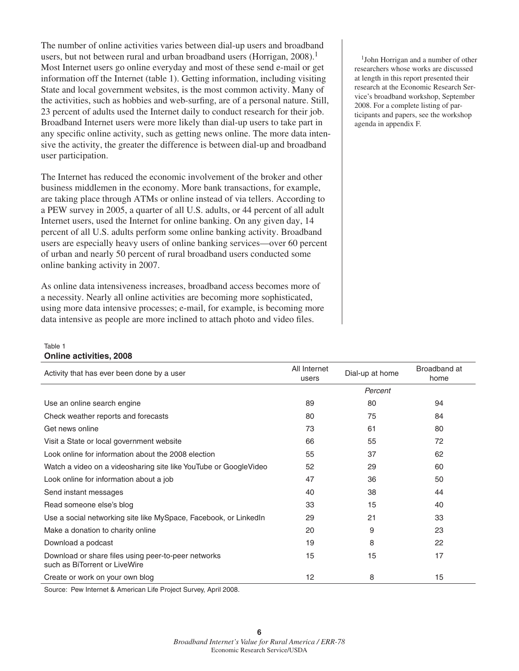The number of online activities varies between dial-up users and broadband users, but not between rural and urban broadband users (Horrigan, 2008).<sup>1</sup> Most Internet users go online everyday and most of these send e-mail or get information off the Internet (table 1). Getting information, including visiting State and local government websites, is the most common activity. Many of the activities, such as hobbies and web-surfing, are of a personal nature. Still, 23 percent of adults used the Internet daily to conduct research for their job. Broadband Internet users were more likely than dial-up users to take part in any specific online activity, such as getting news online. The more data intensive the activity, the greater the difference is between dial-up and broadband user participation.

The Internet has reduced the economic involvement of the broker and other business middlemen in the economy. More bank transactions, for example, are taking place through ATMs or online instead of via tellers. According to a PEW survey in 2005, a quarter of all U.S. adults, or 44 percent of all adult Internet users, used the Internet for online banking. On any given day, 14 percent of all U.S. adults perform some online banking activity. Broadband users are especially heavy users of online banking services—over 60 percent of urban and nearly 50 percent of rural broadband users conducted some online banking activity in 2007.

As online data intensiveness increases, broadband access becomes more of a necessity. Nearly all online activities are becoming more sophisticated, using more data intensive processes; e-mail, for example, is becoming more data intensive as people are more inclined to attach photo and video files.

<sup>1</sup>John Horrigan and a number of other researchers whose works are discussed at length in this report presented their research at the Economic Research Service's broadband workshop, September 2008. For a complete listing of participants and papers, see the workshop agenda in appendix F.

#### Table 1 **Online activities, 2008**

| Activity that has ever been done by a user                                           | All Internet<br>users | Dial-up at home | Broadband at<br>home |
|--------------------------------------------------------------------------------------|-----------------------|-----------------|----------------------|
|                                                                                      |                       | Percent         |                      |
| Use an online search engine                                                          | 89                    | 80              | 94                   |
| Check weather reports and forecasts                                                  | 80                    | 75              | 84                   |
| Get news online                                                                      | 73                    | 61              | 80                   |
| Visit a State or local government website                                            | 66                    | 55              | 72                   |
| Look online for information about the 2008 election                                  | 55                    | 37              | 62                   |
| Watch a video on a videosharing site like YouTube or GoogleVideo                     | 52                    | 29              | 60                   |
| Look online for information about a job                                              | 47                    | 36              | 50                   |
| Send instant messages                                                                | 40                    | 38              | 44                   |
| Read someone else's blog                                                             | 33                    | 15              | 40                   |
| Use a social networking site like MySpace, Facebook, or LinkedIn                     | 29                    | 21              | 33                   |
| Make a donation to charity online                                                    | 20                    | 9               | 23                   |
| Download a podcast                                                                   | 19                    | 8               | 22                   |
| Download or share files using peer-to-peer networks<br>such as BiTorrent or LiveWire | 15                    | 15              | 17                   |
| Create or work on your own blog                                                      | 12                    | 8               | 15                   |

Source: Pew Internet & American Life Project Survey, April 2008.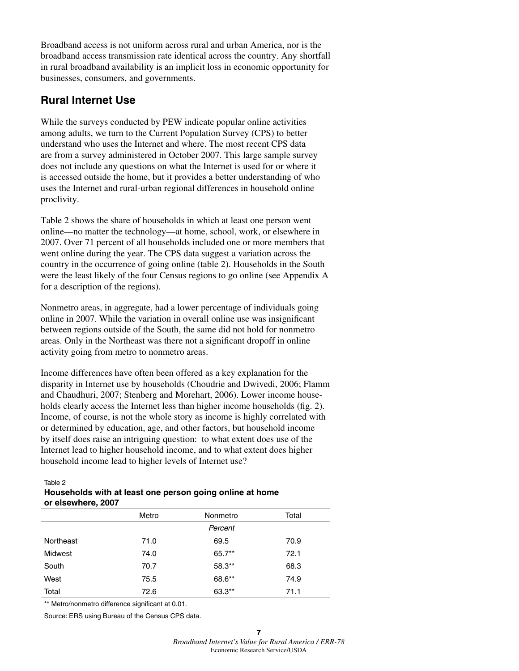Broadband access is not uniform across rural and urban America, nor is the broadband access transmission rate identical across the country. Any shortfall in rural broadband availability is an implicit loss in economic opportunity for businesses, consumers, and governments.

## **Rural Internet Use**

While the surveys conducted by PEW indicate popular online activities among adults, we turn to the Current Population Survey (CPS) to better understand who uses the Internet and where. The most recent CPS data are from a survey administered in October 2007. This large sample survey does not include any questions on what the Internet is used for or where it is accessed outside the home, but it provides a better understanding of who uses the Internet and rural-urban regional differences in household online proclivity.

Table 2 shows the share of households in which at least one person went online—no matter the technology—at home, school, work, or elsewhere in 2007. Over 71 percent of all households included one or more members that went online during the year. The CPS data suggest a variation across the country in the occurrence of going online (table 2). Households in the South were the least likely of the four Census regions to go online (see Appendix A for a description of the regions).

Nonmetro areas, in aggregate, had a lower percentage of individuals going online in 2007. While the variation in overall online use was insignificant between regions outside of the South, the same did not hold for nonmetro areas. Only in the Northeast was there not a significant dropoff in online activity going from metro to nonmetro areas.

Income differences have often been offered as a key explanation for the disparity in Internet use by households (Choudrie and Dwivedi, 2006; Flamm and Chaudhuri, 2007; Stenberg and Morehart, 2006). Lower income households clearly access the Internet less than higher income households (fig. 2). Income, of course, is not the whole story as income is highly correlated with or determined by education, age, and other factors, but household income by itself does raise an intriguing question: to what extent does use of the Internet lead to higher household income, and to what extent does higher household income lead to higher levels of Internet use?

#### Table 2

## **Households with at least one person going online at home or elsewhere, 2007**

|           | Metro | Nonmetro | Total |
|-----------|-------|----------|-------|
|           |       | Percent  |       |
| Northeast | 71.0  | 69.5     | 70.9  |
| Midwest   | 74.0  | 65.7**   | 72.1  |
| South     | 70.7  | 58.3**   | 68.3  |
| West      | 75.5  | 68.6**   | 74.9  |
| Total     | 72.6  | 63.3**   | 71.1  |
|           |       |          |       |

\*\* Metro/nonmetro difference significant at 0.01.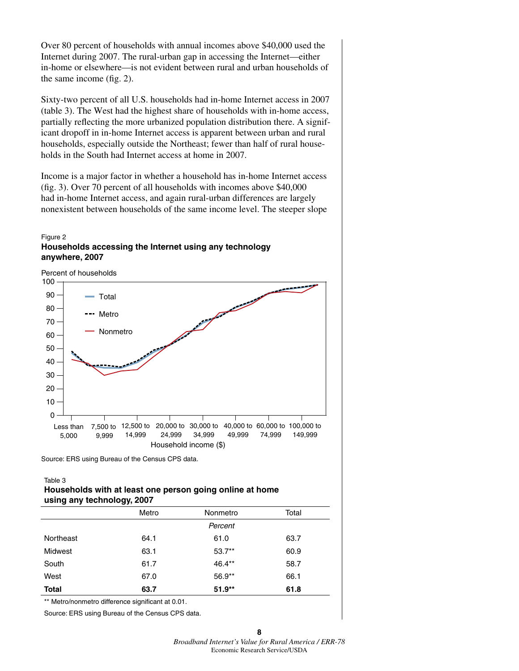Over 80 percent of households with annual incomes above \$40,000 used the Internet during 2007. The rural-urban gap in accessing the Internet—either in-home or elsewhere—is not evident between rural and urban households of the same income (fig. 2).

Sixty-two percent of all U.S. households had in-home Internet access in 2007 (table 3). The West had the highest share of households with in-home access, partially reflecting the more urbanized population distribution there. A significant dropoff in in-home Internet access is apparent between urban and rural households, especially outside the Northeast; fewer than half of rural households in the South had Internet access at home in 2007.

Income is a major factor in whether a household has in-home Internet access (fig. 3). Over 70 percent of all households with incomes above \$40,000 had in-home Internet access, and again rural-urban differences are largely nonexistent between households of the same income level. The steeper slope

## Figure 2 **Households accessing the Internet using any technology anywhere, 2007**

Household income (\$) Less than 5,000 7,500 to 12,500 to 20,000 to 30,000 to 40,000 to 60,000 to 100,000 to 9,999 Total Metro Nonmetro Percent of households 14,999 24,999 34,999 49,999 74,999 149,999 0 10 20 30 40 50 60 70 80 90 100

Source: ERS using Bureau of the Census CPS data.

Table 3

## **Households with at least one person going online at home using any technology, 2007**

|              | Metro | Nonmetro  | Total |
|--------------|-------|-----------|-------|
|              |       | Percent   |       |
| Northeast    | 64.1  | 61.0      | 63.7  |
| Midwest      | 63.1  | $53.7***$ | 60.9  |
| South        | 61.7  | 46.4**    | 58.7  |
| West         | 67.0  | 56.9**    | 66.1  |
| <b>Total</b> | 63.7  | $51.9**$  | 61.8  |
| .            |       |           |       |

\*\* Metro/nonmetro difference significant at 0.01.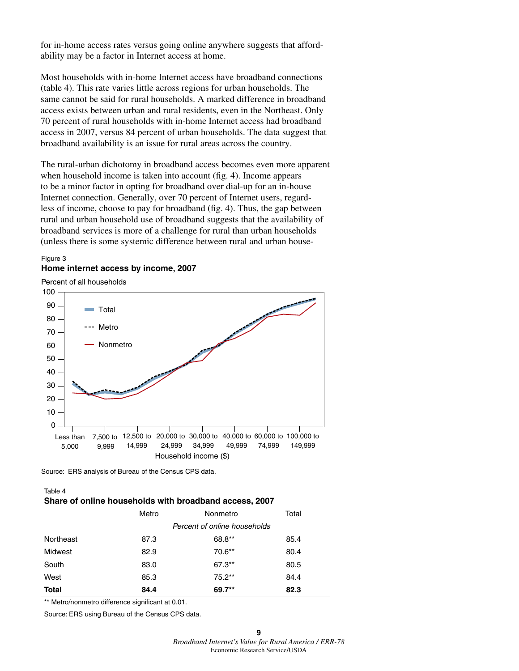for in-home access rates versus going online anywhere suggests that affordability may be a factor in Internet access at home.

Most households with in-home Internet access have broadband connections (table 4). This rate varies little across regions for urban households. The same cannot be said for rural households. A marked difference in broadband access exists between urban and rural residents, even in the Northeast. Only 70 percent of rural households with in-home Internet access had broadband access in 2007, versus 84 percent of urban households. The data suggest that broadband availability is an issue for rural areas across the country.

The rural-urban dichotomy in broadband access becomes even more apparent when household income is taken into account (fig. 4). Income appears to be a minor factor in opting for broadband over dial-up for an in-house Internet connection. Generally, over 70 percent of Internet users, regardless of income, choose to pay for broadband (fig. 4). Thus, the gap between rural and urban household use of broadband suggests that the availability of broadband services is more of a challenge for rural than urban households (unless there is some systemic difference between rural and urban house-

### Figure 3 **Home internet access by income, 2007**

Percent of all households



Source: ERS analysis of Bureau of the Census CPS data.

#### Table 4 **Share of online households with broadband access, 2007**

|              |       | $\overline{\phantom{a}}$     |       |
|--------------|-------|------------------------------|-------|
|              | Metro | Nonmetro                     | Total |
|              |       | Percent of online households |       |
| Northeast    | 87.3  | 68.8**                       | 85.4  |
| Midwest      | 82.9  | 70.6**                       | 80.4  |
| South        | 83.0  | $67.3***$                    | 80.5  |
| West         | 85.3  | $75.2***$                    | 84.4  |
| <b>Total</b> | 84.4  | 69.7**                       | 82.3  |
|              |       |                              |       |

\*\* Metro/nonmetro difference significant at 0.01.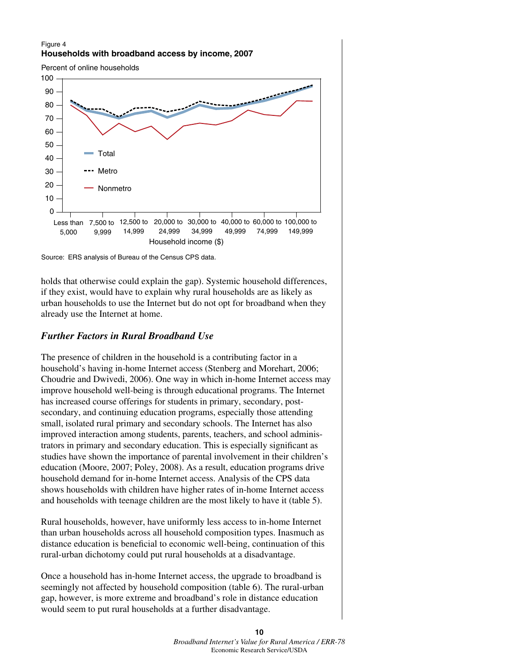## Figure 4 **Households with broadband access by income, 2007**

Percent of online households





holds that otherwise could explain the gap). Systemic household differences, if they exist, would have to explain why rural households are as likely as urban households to use the Internet but do not opt for broadband when they already use the Internet at home.

## *Further Factors in Rural Broadband Use*

The presence of children in the household is a contributing factor in a household's having in-home Internet access (Stenberg and Morehart, 2006; Choudrie and Dwivedi, 2006). One way in which in-home Internet access may improve household well-being is through educational programs. The Internet has increased course offerings for students in primary, secondary, postsecondary, and continuing education programs, especially those attending small, isolated rural primary and secondary schools. The Internet has also improved interaction among students, parents, teachers, and school administrators in primary and secondary education. This is especially significant as studies have shown the importance of parental involvement in their children's education (Moore, 2007; Poley, 2008). As a result, education programs drive household demand for in-home Internet access. Analysis of the CPS data shows households with children have higher rates of in-home Internet access and households with teenage children are the most likely to have it (table 5).

Rural households, however, have uniformly less access to in-home Internet than urban households across all household composition types. Inasmuch as distance education is beneficial to economic well-being, continuation of this rural-urban dichotomy could put rural households at a disadvantage.

Once a household has in-home Internet access, the upgrade to broadband is seemingly not affected by household composition (table 6). The rural-urban gap, however, is more extreme and broadband's role in distance education would seem to put rural households at a further disadvantage.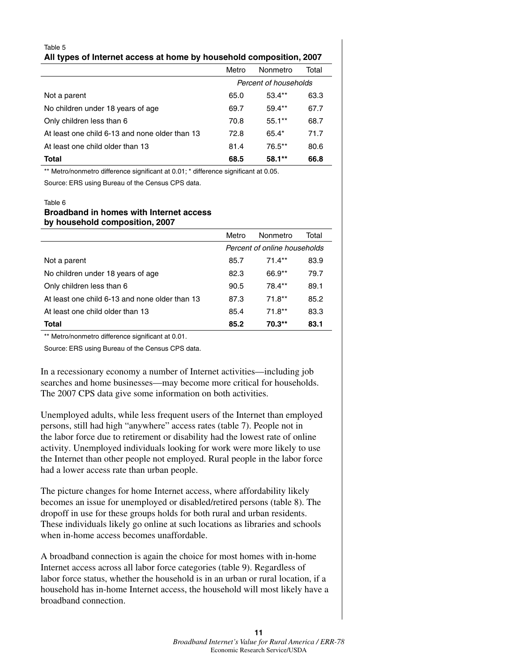| Table 5                                                             |  |
|---------------------------------------------------------------------|--|
| All types of Internet access at home by household composition, 2007 |  |

|                                                | Metro                 | Nonmetro | Total |
|------------------------------------------------|-----------------------|----------|-------|
|                                                | Percent of households |          |       |
| Not a parent                                   | 65.0                  | $53.4**$ | 63.3  |
| No children under 18 years of age              | 69.7                  | $59.4**$ | 67.7  |
| Only children less than 6                      | 70.8                  | $55.1**$ | 68.7  |
| At least one child 6-13 and none older than 13 | 72.8                  | $65.4*$  | 71.7  |
| At least one child older than 13               | 81.4                  | 76.5**   | 80.6  |
| Total                                          | 68.5                  | $58.1**$ | 66.8  |

\*\* Metro/nonmetro difference significant at 0.01; \* difference significant at 0.05.

Source: ERS using Bureau of the Census CPS data.

## Table 6 **Broadband in homes with Internet access by household composition, 2007**

|                                                | Metro                        | Nonmetro  | Total |
|------------------------------------------------|------------------------------|-----------|-------|
|                                                | Percent of online households |           |       |
| Not a parent                                   | 85.7                         | $71.4**$  | 83.9  |
| No children under 18 years of age              | 82.3                         | 66.9**    | 79.7  |
| Only children less than 6                      | 90.5                         | 78.4**    | 89.1  |
| At least one child 6-13 and none older than 13 | 87.3                         | $71.8**$  | 85.2  |
| At least one child older than 13               | 85.4                         | $71.8***$ | 83.3  |
| Total                                          | 85.2                         | 70.3**    | 83.1  |

\*\* Metro/nonmetro difference significant at 0.01.

Source: ERS using Bureau of the Census CPS data.

In a recessionary economy a number of Internet activities—including job searches and home businesses—may become more critical for households. The 2007 CPS data give some information on both activities.

Unemployed adults, while less frequent users of the Internet than employed persons, still had high "anywhere" access rates (table 7). People not in the labor force due to retirement or disability had the lowest rate of online activity. Unemployed individuals looking for work were more likely to use the Internet than other people not employed. Rural people in the labor force had a lower access rate than urban people.

The picture changes for home Internet access, where affordability likely becomes an issue for unemployed or disabled/retired persons (table 8). The dropoff in use for these groups holds for both rural and urban residents. These individuals likely go online at such locations as libraries and schools when in-home access becomes unaffordable.

A broadband connection is again the choice for most homes with in-home Internet access across all labor force categories (table 9). Regardless of labor force status, whether the household is in an urban or rural location, if a household has in-home Internet access, the household will most likely have a broadband connection.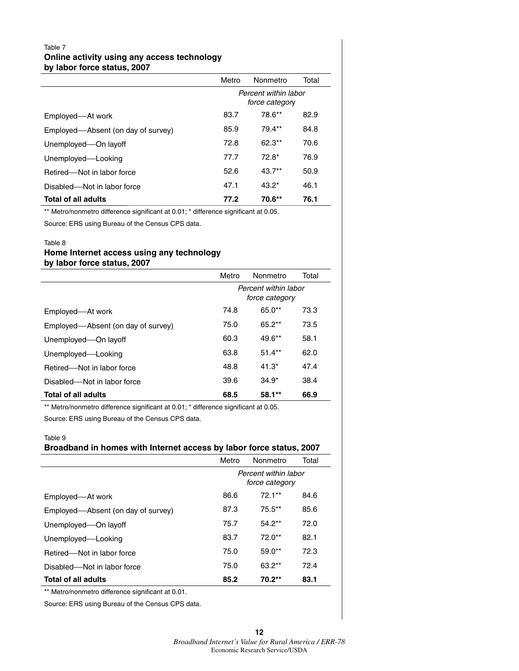## Table 7 **Online activity using any access technology by labor force status, 2007**

|                                    | Metro                                  | <b>Nonmetro</b> | Total |  |
|------------------------------------|----------------------------------------|-----------------|-------|--|
|                                    | Percent within labor<br>force category |                 |       |  |
| Employed—At work                   | 83.7                                   | 78.6**          | 82.9  |  |
| Employed—Absent (on day of survey) | 85.9                                   | 79.4**          | 84.8  |  |
| Unemployed-On layoff               | 72.8                                   | $62.3**$        | 70.6  |  |
| Unemployed-Looking                 | 77.7                                   | $72.8*$         | 76.9  |  |
| Retired-Not in labor force         | 52.6                                   | $43.7**$        | 50.9  |  |
| Disabled—Not in labor force        | 47.1                                   | $43.2*$         | 46.1  |  |
| Total of all adults                | 77.2                                   | 70.6**          | 76.1  |  |

\*\* Metro/nonmetro difference significant at 0.01; \* difference significant at 0.05.

Source: ERS using Bureau of the Census CPS data.

### Table 8

## **Home Internet access using any technology by labor force status, 2007**

|                                    | Metro                                  | <b>Nonmetro</b> | Total |  |
|------------------------------------|----------------------------------------|-----------------|-------|--|
|                                    | Percent within labor<br>force category |                 |       |  |
| Employed—At work                   | 74.8                                   | $65.0**$        | 73.3  |  |
| Employed—Absent (on day of survey) | 75.0                                   | $65.2**$        | 73.5  |  |
| Unemployed-On layoff               | 60.3                                   | $49.6**$        | 58.1  |  |
| Unemployed-Looking                 | 63.8                                   | $51.4**$        | 62.0  |  |
| Retired-Not in labor force         | 48.8                                   | $41.3*$         | 47.4  |  |
| Disabled-Not in labor force        | 39.6                                   | $34.9*$         | 38.4  |  |
| <b>Total of all adults</b>         | 68.5                                   | $58.1**$        | 66.9  |  |

\*\* Metro/nonmetro difference significant at 0.01; \* difference significant at 0.05.

Source: ERS using Bureau of the Census CPS data.

## Table 9 **Broadband in homes with Internet access by labor force status, 2007**

|                                    | Metro                                  | <b>Nonmetro</b> | Total |  |
|------------------------------------|----------------------------------------|-----------------|-------|--|
|                                    | Percent within labor<br>force category |                 |       |  |
| Employed—At work                   | 86.6                                   | $72.1**$        | 84.6  |  |
| Employed-Absent (on day of survey) | 87.3                                   | $75.5**$        | 85.6  |  |
| Unemployed-On layoff               | 75.7                                   | $54.2**$        | 72.0  |  |
| Unemployed-Looking                 | 83.7                                   | $72.0**$        | 82.1  |  |
| Retired—Not in labor force         | 75.0                                   | $59.0**$        | 72.3  |  |
| Disabled-Not in labor force        | 75.0                                   | $63.2**$        | 72.4  |  |
| <b>Total of all adults</b>         | 85.2                                   | $70.2**$        | 83.1  |  |

\*\* Metro/nonmetro difference significant at 0.01.